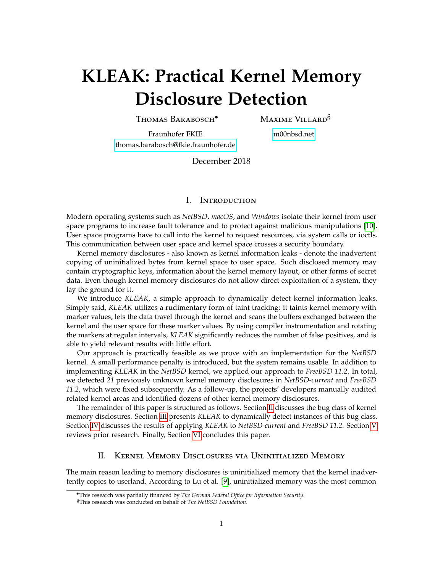# **KLEAK: Practical Kernel Memory Disclosure Detection**

Thomas Barabosch•

Maxime Villard§

Fraunhofer FKIE [thomas.barabosch@fkie.fraunhofer.de](mailto:thomas.barabosch@fkie.fraunhofer.de) [m00nbsd.net](https://m00nbsd.net)

December 2018

## I. Introduction

Modern operating systems such as *NetBSD*, *macOS*, and *Windows* isolate their kernel from user space programs to increase fault tolerance and to protect against malicious manipulations [\[10\]](#page-7-0). User space programs have to call into the kernel to request resources, via system calls or ioctls. This communication between user space and kernel space crosses a security boundary.

Kernel memory disclosures - also known as kernel information leaks - denote the inadvertent copying of uninitialized bytes from kernel space to user space. Such disclosed memory may contain cryptographic keys, information about the kernel memory layout, or other forms of secret data. Even though kernel memory disclosures do not allow direct exploitation of a system, they lay the ground for it.

We introduce *KLEAK*, a simple approach to dynamically detect kernel information leaks. Simply said, *KLEAK* utilizes a rudimentary form of taint tracking: it taints kernel memory with marker values, lets the data travel through the kernel and scans the buffers exchanged between the kernel and the user space for these marker values. By using compiler instrumentation and rotating the markers at regular intervals, *KLEAK* significantly reduces the number of false positives, and is able to yield relevant results with little effort.

Our approach is practically feasible as we prove with an implementation for the *NetBSD* kernel. A small performance penalty is introduced, but the system remains usable. In addition to implementing *KLEAK* in the *NetBSD* kernel, we applied our approach to *FreeBSD 11.2*. In total, we detected *21* previously unknown kernel memory disclosures in *NetBSD-current* and *FreeBSD 11.2*, which were fixed subsequently. As a follow-up, the projects' developers manually audited related kernel areas and identified dozens of other kernel memory disclosures.

The remainder of this paper is structured as follows. Section [II](#page-0-0) discusses the bug class of kernel memory disclosures. Section [III](#page-1-0) presents *KLEAK* to dynamically detect instances of this bug class. Section [IV](#page-5-0) discusses the results of applying *KLEAK* to *NetBSD-current* and *FreeBSD 11.2*. Section [V](#page-6-0) reviews prior research. Finally, Section [VI](#page-7-1) concludes this paper.

## II. Kernel Memory Disclosures via Uninitialized Memory

<span id="page-0-0"></span>The main reason leading to memory disclosures is uninitialized memory that the kernel inadvertently copies to userland. According to Lu et al. [\[9\]](#page-7-2), uninitialized memory was the most common

<sup>•</sup>This research was partially financed by *The German Federal Office for Information Security*.

<sup>§</sup>This research was conducted on behalf of *The NetBSD Foundation*.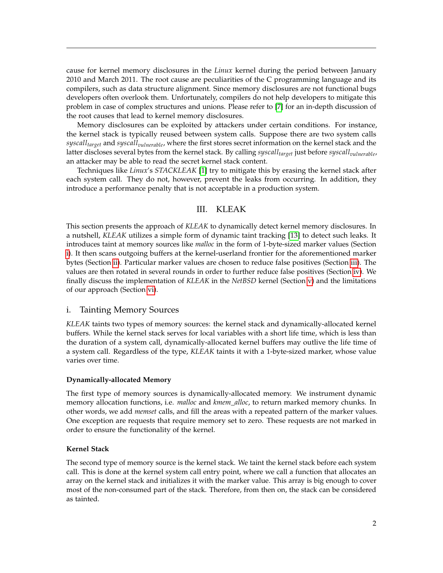cause for kernel memory disclosures in the *Linux* kernel during the period between January 2010 and March 2011. The root cause are peculiarities of the C programming language and its compilers, such as data structure alignment. Since memory disclosures are not functional bugs developers often overlook them. Unfortunately, compilers do not help developers to mitigate this problem in case of complex structures and unions. Please refer to [\[7\]](#page-7-3) for an in-depth discussion of the root causes that lead to kernel memory disclosures.

Memory disclosures can be exploited by attackers under certain conditions. For instance, the kernel stack is typically reused between system calls. Suppose there are two system calls *syscalltarget* and *syscallvulnerable*, where the first stores secret information on the kernel stack and the latter discloses several bytes from the kernel stack. By calling *syscalltarget* just before *syscallvulnerable*, an attacker may be able to read the secret kernel stack content.

Techniques like *Linux*'s *STACKLEAK* [\[1\]](#page-7-4) try to mitigate this by erasing the kernel stack after each system call. They do not, however, prevent the leaks from occurring. In addition, they introduce a performance penalty that is not acceptable in a production system.

## III. KLEAK

<span id="page-1-0"></span>This section presents the approach of *KLEAK* to dynamically detect kernel memory disclosures. In a nutshell, *KLEAK* utilizes a simple form of dynamic taint tracking [\[13\]](#page-8-0) to detect such leaks. It introduces taint at memory sources like *malloc* in the form of 1-byte-sized marker values (Section [i\)](#page-1-1). It then scans outgoing buffers at the kernel-userland frontier for the aforementioned marker bytes (Section [ii\)](#page-2-0). Particular marker values are chosen to reduce false positives (Section [iii\)](#page-2-1). The values are then rotated in several rounds in order to further reduce false positives (Section [iv\)](#page-3-0). We finally discuss the implementation of *KLEAK* in the *NetBSD* kernel (Section [v\)](#page-4-0) and the limitations of our approach (Section [vi\)](#page-5-1).

## <span id="page-1-1"></span>i. Tainting Memory Sources

*KLEAK* taints two types of memory sources: the kernel stack and dynamically-allocated kernel buffers. While the kernel stack serves for local variables with a short life time, which is less than the duration of a system call, dynamically-allocated kernel buffers may outlive the life time of a system call. Regardless of the type, *KLEAK* taints it with a 1-byte-sized marker, whose value varies over time.

#### **Dynamically-allocated Memory**

The first type of memory sources is dynamically-allocated memory. We instrument dynamic memory allocation functions, i.e. *malloc* and *kmem\_alloc*, to return marked memory chunks. In other words, we add *memset* calls, and fill the areas with a repeated pattern of the marker values. One exception are requests that require memory set to zero. These requests are not marked in order to ensure the functionality of the kernel.

## **Kernel Stack**

The second type of memory source is the kernel stack. We taint the kernel stack before each system call. This is done at the kernel system call entry point, where we call a function that allocates an array on the kernel stack and initializes it with the marker value. This array is big enough to cover most of the non-consumed part of the stack. Therefore, from then on, the stack can be considered as tainted.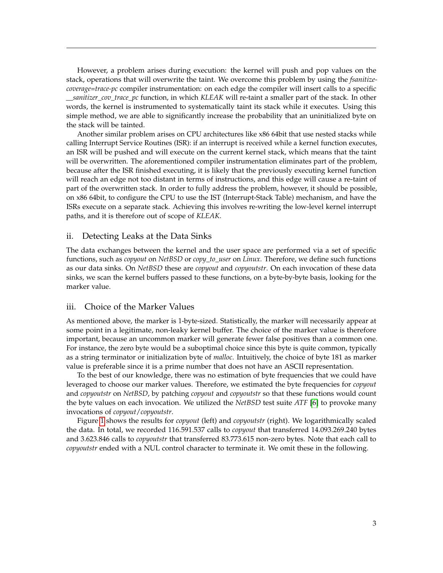However, a problem arises during execution: the kernel will push and pop values on the stack, operations that will overwrite the taint. We overcome this problem by using the *fsanitizecoverage=trace-pc* compiler instrumentation: on each edge the compiler will insert calls to a specific *\_\_sanitizer\_cov\_trace\_pc* function, in which *KLEAK* will re-taint a smaller part of the stack. In other words, the kernel is instrumented to systematically taint its stack while it executes. Using this simple method, we are able to significantly increase the probability that an uninitialized byte on the stack will be tainted.

Another similar problem arises on CPU architectures like x86 64bit that use nested stacks while calling Interrupt Service Routines (ISR): if an interrupt is received while a kernel function executes, an ISR will be pushed and will execute on the current kernel stack, which means that the taint will be overwritten. The aforementioned compiler instrumentation eliminates part of the problem, because after the ISR finished executing, it is likely that the previously executing kernel function will reach an edge not too distant in terms of instructions, and this edge will cause a re-taint of part of the overwritten stack. In order to fully address the problem, however, it should be possible, on x86 64bit, to configure the CPU to use the IST (Interrupt-Stack Table) mechanism, and have the ISRs execute on a separate stack. Achieving this involves re-writing the low-level kernel interrupt paths, and it is therefore out of scope of *KLEAK*.

### <span id="page-2-0"></span>ii. Detecting Leaks at the Data Sinks

The data exchanges between the kernel and the user space are performed via a set of specific functions, such as *copyout* on *NetBSD* or *copy\_to\_user* on *Linux*. Therefore, we define such functions as our data sinks. On *NetBSD* these are *copyout* and *copyoutstr*. On each invocation of these data sinks, we scan the kernel buffers passed to these functions, on a byte-by-byte basis, looking for the marker value.

### <span id="page-2-1"></span>iii. Choice of the Marker Values

As mentioned above, the marker is 1-byte-sized. Statistically, the marker will necessarily appear at some point in a legitimate, non-leaky kernel buffer. The choice of the marker value is therefore important, because an uncommon marker will generate fewer false positives than a common one. For instance, the zero byte would be a suboptimal choice since this byte is quite common, typically as a string terminator or initialization byte of *malloc*. Intuitively, the choice of byte 181 as marker value is preferable since it is a prime number that does not have an ASCII representation.

To the best of our knowledge, there was no estimation of byte frequencies that we could have leveraged to choose our marker values. Therefore, we estimated the byte frequencies for *copyout* and *copyoutstr* on *NetBSD*, by patching *copyout* and *copyoutstr* so that these functions would count the byte values on each invocation. We utilized the *NetBSD* test suite *ATF* [\[6\]](#page-7-5) to provoke many invocations of *copyout*/*copyoutstr*.

Figure [1](#page-3-1) shows the results for *copyout* (left) and *copyoutstr* (right). We logarithmically scaled the data. In total, we recorded 116.591.537 calls to *copyout* that transferred 14.093.269.240 bytes and 3.623.846 calls to *copyoutstr* that transferred 83.773.615 non-zero bytes. Note that each call to *copyoutstr* ended with a NUL control character to terminate it. We omit these in the following.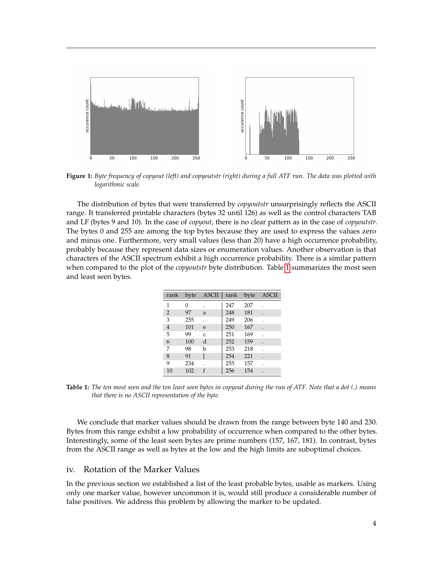<span id="page-3-1"></span>

**Figure 1:** *Byte frequency of copyout (left) and copyoutstr (right) during a full ATF run. The data was plotted with logarithmic scale.*

<span id="page-3-2"></span>The distribution of bytes that were transferred by *copyoutstr* unsurprisingly reflects the ASCII range. It transferred printable characters (bytes 32 until 126) as well as the control characters TAB and LF (bytes 9 and 10). In the case of *copyout*, there is no clear pattern as in the case of *copyoutstr*. The bytes 0 and 255 are among the top bytes because they are used to express the values zero and minus one. Furthermore, very small values (less than 20) have a high occurrence probability, probably because they represent data sizes or enumeration values. Another observation is that characters of the ASCII spectrum exhibit a high occurrence probability. There is a similar pattern when compared to the plot of the *copyoutstr* byte distribution. Table [1](#page-3-2) summarizes the most seen and least seen bytes.

| rank           | byte | ASCII         | rank | byte | <b>ASCII</b> |
|----------------|------|---------------|------|------|--------------|
| 1              | 0    |               | 247  | 207  |              |
| $\overline{2}$ | 97   | a             | 248  | 181  | $\cdot$      |
| 3              | 255  |               | 249  | 206  |              |
| $\overline{4}$ | 101  | e             | 250  | 167  |              |
| 5              | 99   | $\mathcal{C}$ | 251  | 169  |              |
| 6              | 100  | d             | 252  | 159  |              |
| 7              | 98   | b             | 253  | 218  |              |
| 8              | 91   |               | 254  | 221  | $\cdot$      |
| 9              | 234  |               | 255  | 157  |              |
| 10             | 102  | f             | 256  | 154  | ٠            |

**Table 1:** *The ten most seen and the ten least seen bytes in copyout during the run of ATF. Note that a dot (.) means that there is no ASCII representation of the byte.*

We conclude that marker values should be drawn from the range between byte 140 and 230. Bytes from this range exhibit a low probability of occurrence when compared to the other bytes. Interestingly, some of the least seen bytes are prime numbers (157, 167, 181). In contrast, bytes from the ASCII range as well as bytes at the low and the high limits are suboptimal choices.

## <span id="page-3-0"></span>iv. Rotation of the Marker Values

In the previous section we established a list of the least probable bytes, usable as markers. Using only one marker value, however uncommon it is, would still produce a considerable number of false positives. We address this problem by allowing the marker to be updated.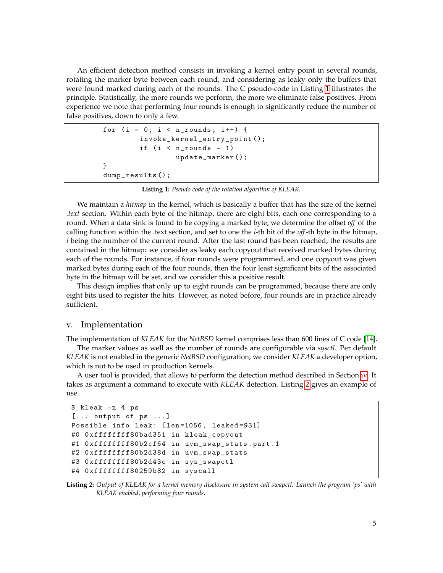An efficient detection method consists in invoking a kernel entry point in several rounds, rotating the marker byte between each round, and considering as leaky only the buffers that were found marked during each of the rounds. The C pseudo-code in Listing [1](#page-4-1) illustrates the principle. Statistically, the more rounds we perform, the more we eliminate false positives. From experience we note that performing four rounds is enough to significantly reduce the number of false positives, down to only a few.

```
for (i = 0; i < n rounds; i^{++} {
        invoke_kernel_entry_point ();
        if (i < n_{rounds - 1})update_marker ();
}
dump_results ();
```
**Listing 1:** *Pseudo code of the rotation algorithm of KLEAK.*

We maintain a *hitmap* in the kernel, which is basically a buffer that has the size of the kernel *.text* section. Within each byte of the hitmap, there are eight bits, each one corresponding to a round. When a data sink is found to be copying a marked byte, we determine the offset *off* of the calling function within the .text section, and set to one the *i*-th bit of the *off*-th byte in the hitmap, *i* being the number of the current round. After the last round has been reached, the results are contained in the hitmap: we consider as leaky each copyout that received marked bytes during each of the rounds. For instance, if four rounds were programmed, and one copyout was given marked bytes during each of the four rounds, then the four least significant bits of the associated byte in the hitmap will be set, and we consider this a positive result.

This design implies that only up to eight rounds can be programmed, because there are only eight bits used to register the hits. However, as noted before, four rounds are in practice already sufficient.

#### <span id="page-4-0"></span>v. Implementation

The implementation of *KLEAK* for the *NetBSD* kernel comprises less than 600 lines of C code [\[14\]](#page-8-1).

The marker values as well as the number of rounds are configurable via *sysctl*. Per default *KLEAK* is not enabled in the generic *NetBSD* configuration; we consider *KLEAK* a developer option, which is not to be used in production kernels.

A user tool is provided, that allows to perform the detection method described in Section [iv.](#page-3-0) It takes as argument a command to execute with *KLEAK* detection. Listing [2](#page-4-2) gives an example of  $11$ Se.

```
$ kleak -n 4 ps
[... output of ps ...]
Possible info leak: [len=1056, leaked=931]
#0 0 xffffffff80bad351 in kleak_copyout
#1 Oxffffffff80b2cf64 in uvm_swap_stats.part.1
#2 0 xffffffff80b2d38d in uvm_swap_stats
#3 0 xffffffff80b2d43c in sys_swapctl
#4 0 xffffffff80259b82 in syscall
```
**Listing 2:** *Output of KLEAK for a kernel memory disclosure in system call swapctl. Launch the program 'ps' with KLEAK enabled, performing four rounds.*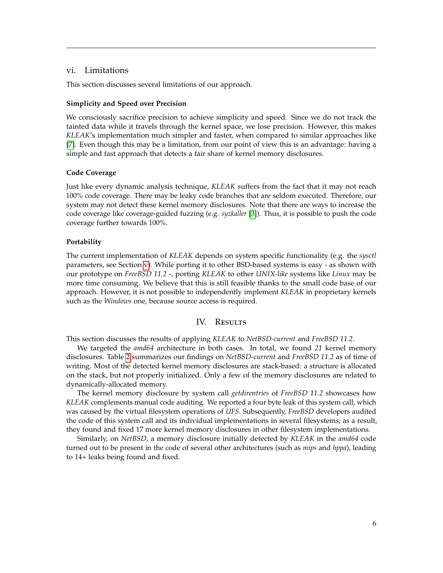### <span id="page-5-1"></span>vi. Limitations

This section discusses several limitations of our approach.

## **Simplicity and Speed over Precision**

We consciously sacrifice precision to achieve simplicity and speed. Since we do not track the tainted data while it travels through the kernel space, we lose precision. However, this makes *KLEAK*'s implementation much simpler and faster, when compared to similar approaches like [\[7\]](#page-7-3). Even though this may be a limitation, from our point of view this is an advantage: having a simple and fast approach that detects a fair share of kernel memory disclosures.

#### **Code Coverage**

Just like every dynamic analysis technique, *KLEAK* suffers from the fact that it may not reach 100% code coverage. There may be leaky code branches that are seldom executed. Therefore, our system may not detect these kernel memory disclosures. Note that there are ways to increase the code coverage like coverage-guided fuzzing (e.g. *syzkaller* [\[3\]](#page-7-6)). Thus, it is possible to push the code coverage further towards 100%.

#### **Portability**

The current implementation of *KLEAK* depends on system specific functionality (e.g. the *sysctl* parameters, see Section [v\)](#page-4-0). While porting it to other BSD-based systems is easy - as shown with our prototype on *FreeBSD 11.2* -, porting *KLEAK* to other *UNIX-like* systems like *Linux* may be more time consuming. We believe that this is still feasible thanks to the small code base of our approach. However, it is not possible to independently implement *KLEAK* in proprietary kernels such as the *Windows* one, because source access is required.

## IV. RESULTS

<span id="page-5-0"></span>This section discusses the results of applying *KLEAK* to *NetBSD-current* and *FreeBSD 11.2*.

We targeted the *amd64* architecture in both cases. In total, we found *21* kernel memory disclosures. Table [2](#page-6-1) summarizes our findings on *NetBSD-current* and *FreeBSD 11.2* as of time of writing. Most of the detected kernel memory disclosures are stack-based: a structure is allocated on the stack, but not properly initialized. Only a few of the memory disclosures are related to dynamically-allocated memory.

The kernel memory disclosure by system call *getdirentries* of *FreeBSD 11.2* showcases how *KLEAK* complements manual code auditing. We reported a four byte leak of this system call, which was caused by the virtual filesystem operations of *UFS*. Subsequently, *FreeBSD* developers audited the code of this system call and its individual implementations in several filesystems; as a result, they found and fixed 17 more kernel memory disclosures in other filesystem implementations.

Similarly, on *NetBSD*, a memory disclosure initially detected by *KLEAK* in the *amd64* code turned out to be present in the code of several other architectures (such as *mips* and *hppa*), leading to 14+ leaks being found and fixed.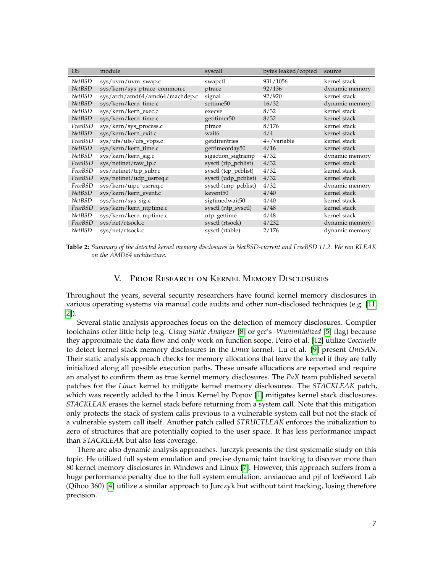<span id="page-6-1"></span>

| <b>OS</b>     | module                         | syscall                 | bytes leaked/copied | source         |
|---------------|--------------------------------|-------------------------|---------------------|----------------|
| NetBSD        | sys/uvm/uvm_swap.c             | swapctl                 | 931/1056            | kernel stack   |
| <b>NetBSD</b> | sys/kern/sys_ptrace_common.c   | ptrace                  | 92/136              | dynamic memory |
| <b>NetBSD</b> | sys/arch/amd64/amd64/machdep.c | signal                  | 92/920              | kernel stack   |
| <b>NetBSD</b> | sys/kern/kern_time.c           | settime <sub>50</sub>   | 16/32               | dynamic memory |
| NetBSD        | sys/kern/kern_exec.c           | execve                  | 8/32                | kernel stack   |
| <b>NetBSD</b> | sys/kern/kern_time.c           | getitimer <sub>50</sub> | 8/32                | kernel stack   |
| FreeBSD       | sys/kern/sys_process.c         | ptrace                  | 8/176               | kernel stack   |
| <b>NetBSD</b> | sys/kern/kern_exit.c           | wait6                   | 4/4                 | kernel stack   |
| FreeBSD       | sys/ufs/ufs/ufs_vops.c         | getdirentries           | $4+$ /variable      | kernel stack   |
| <b>NetBSD</b> | sys/kern/kern_time.c           | gettimeofday50          | 4/16                | kernel stack   |
| <b>NetBSD</b> | sys/kern/kern_sig.c            | sigaction_sigtramp      | 4/32                | dynamic memory |
| FreeBSD       | sys/netinet/raw_ip.c           | sysctl (rip_pcblist)    | 4/32                | kernel stack   |
| FreeBSD       | sys/netinet/tcp_subr.c         | sysctl (tcp_pcblist)    | 4/32                | kernel stack   |
| FreeBSD       | sys/netinet/udp_usrreq.c       | sysctl (udp_pcblist)    | 4/32                | kernel stack   |
| FreeBSD       | sys/kern/uipc_usrreq.c         | sysctl (unp_pcblist)    | 4/32                | dynamic memory |
| <b>NetBSD</b> | sys/kern/kern_event.c          | kevent <sup>50</sup>    | 4/40                | kernel stack   |
| <b>NetBSD</b> | sys/kern/sys_sig.c             | sigtimedwait50          | 4/40                | kernel stack   |
| FreeBSD       | sys/kern/kern_ntptime.c        | sysctl (ntp_sysctl)     | 4/48                | kernel stack   |
| NetBSD        | sys/kern/kern_ntptime.c        | ntp_gettime             | 4/48                | kernel stack   |
| FreeBSD       | sys/net/rtsock.c               | sysctl (rtsock)         | 4/232               | dynamic memory |
| <b>NetBSD</b> | sys/net/rtsock.c               | sysctl (rtable)         | 2/176               | dynamic memory |

**Table 2:** *Summary of the detected kernel memory disclosures in NetBSD-current and FreeBSD 11.2. We ran KLEAK on the AMD64 architecture.*

# V. Prior Research on Kernel Memory Disclosures

<span id="page-6-0"></span>Throughout the years, several security researchers have found kernel memory disclosures in various operating systems via manual code audits and other non-disclosed techniques (e.g. [\[11,](#page-8-2) [2\]](#page-7-7)).

Several static analysis approaches focus on the detection of memory disclosures. Compiler toolchains offer little help (e.g. *Clang Static Analyzer* [\[8\]](#page-7-8) or *gcc*'s *-Wuninitialized* [\[5\]](#page-7-9) flag) because they approximate the data flow and only work on function scope. Peiro et al. [\[12\]](#page-8-3) utilize *Coccinelle* to detect kernel stack memory disclosures in the *Linux* kernel. Lu et al. [\[9\]](#page-7-2) present *UniSAN*. Their static analysis approach checks for memory allocations that leave the kernel if they are fully initialized along all possible execution paths. These unsafe allocations are reported and require an analyst to confirm them as true kernel memory disclosures. The *PaX* team published several patches for the *Linux* kernel to mitigate kernel memory disclosures. The *STACKLEAK* patch, which was recently added to the Linux Kernel by Popov [\[1\]](#page-7-4) mitigates kernel stack disclosures. *STACKLEAK* erases the kernel stack before returning from a system call. Note that this mitigation only protects the stack of system calls previous to a vulnerable system call but not the stack of a vulnerable system call itself. Another patch called *STRUCTLEAK* enforces the initialization to zero of structures that are potentially copied to the user space. It has less performance impact than *STACKLEAK* but also less coverage.

There are also dynamic analysis approaches. Jurczyk presents the first systematic study on this topic. He utilized full system emulation and precise dynamic taint tracking to discover more than 80 kernel memory disclosures in Windows and Linux [\[7\]](#page-7-3). However, this approach suffers from a huge performance penalty due to the full system emulation. anxiaocao and pjf of IceSword Lab (Qihoo 360) [\[4\]](#page-7-10) utilize a similar approach to Jurczyk but without taint tracking, losing therefore precision.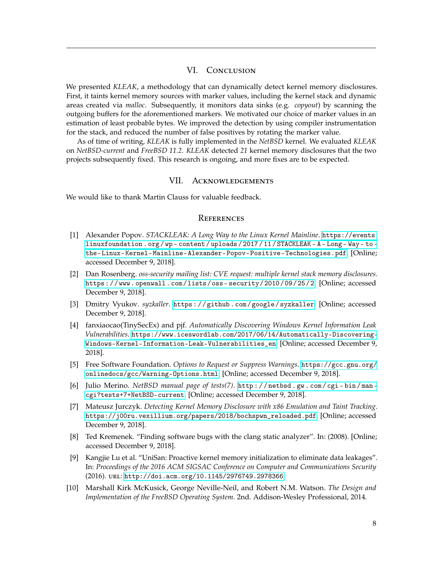## VI. CONCLUSION

<span id="page-7-1"></span>We presented *KLEAK*, a methodology that can dynamically detect kernel memory disclosures. First, it taints kernel memory sources with marker values, including the kernel stack and dynamic areas created via *malloc*. Subsequently, it monitors data sinks (e.g. *copyout*) by scanning the outgoing buffers for the aforementioned markers. We motivated our choice of marker values in an estimation of least probable bytes. We improved the detection by using compiler instrumentation for the stack, and reduced the number of false positives by rotating the marker value.

As of time of writing, *KLEAK* is fully implemented in the *NetBSD* kernel. We evaluated *KLEAK* on *NetBSD-current* and *FreeBSD 11.2*. *KLEAK* detected *21* kernel memory disclosures that the two projects subsequently fixed. This research is ongoing, and more fixes are to be expected.

## VII. Acknowledgements

We would like to thank Martin Clauss for valuable feedback.

### **REFERENCES**

- <span id="page-7-4"></span>[1] Alexander Popov. *STACKLEAK: A Long Way to the Linux Kernel Mainline*. [https://events.](https://events.linuxfoundation.org/wp-content/uploads/2017/11/STACKLEAK-A-Long-Way-to-the-Linux-Kernel-Mainline-Alexander-Popov-Positive-Technologies.pdf) [linuxfoundation . org / wp - content / uploads / 2017 / 11 / STACKLEAK - A - Long - Way - to](https://events.linuxfoundation.org/wp-content/uploads/2017/11/STACKLEAK-A-Long-Way-to-the-Linux-Kernel-Mainline-Alexander-Popov-Positive-Technologies.pdf)  [the-Linux-Kernel-Mainline-Alexander-Popov-Positive-Technologies.pdf](https://events.linuxfoundation.org/wp-content/uploads/2017/11/STACKLEAK-A-Long-Way-to-the-Linux-Kernel-Mainline-Alexander-Popov-Positive-Technologies.pdf). [Online; accessed December 9, 2018].
- <span id="page-7-7"></span>[2] Dan Rosenberg. *oss-security mailing list: CVE request: multiple kernel stack memory disclosures*. [https://www.openwall.com/lists/oss- security/2010/09/25/2](https://www.openwall.com/lists/oss-security/2010/09/25/2). [Online; accessed December 9, 2018].
- <span id="page-7-6"></span>[3] Dmitry Vyukov. *syzkaller*. [https : / / github . com / google / syzkaller](https://github.com/google/syzkaller). [Online; accessed December 9, 2018].
- <span id="page-7-10"></span>[4] fanxiaocao(TinySecEx) and pjf. *Automatically Discovering Windows Kernel Information Leak Vulnerabilities*. [https://www.iceswordlab.com/2017/06/14/Automatically-Discovering-](https://www.iceswordlab.com/2017/06/14/Automatically-Discovering-Windows-Kernel-Information-Leak-Vulnerabilities_en)[Windows-Kernel-Information-Leak-Vulnerabilities\\_en](https://www.iceswordlab.com/2017/06/14/Automatically-Discovering-Windows-Kernel-Information-Leak-Vulnerabilities_en). [Online; accessed December 9, 2018].
- <span id="page-7-9"></span>[5] Free Software Foundation. *Options to Request or Suppress Warnings*. [https://gcc.gnu.org/](https://gcc.gnu.org/onlinedocs/gcc/Warning-Options.html) [onlinedocs/gcc/Warning-Options.html](https://gcc.gnu.org/onlinedocs/gcc/Warning-Options.html). [Online; accessed December 9, 2018].
- <span id="page-7-5"></span>[6] Julio Merino. *NetBSD manual page of tests(7)*. [http : / / netbsd . gw . com / cgi - bin / man](http://netbsd.gw.com/cgi-bin/man-cgi?tests+7+NetBSD-current)  [cgi?tests+7+NetBSD-current](http://netbsd.gw.com/cgi-bin/man-cgi?tests+7+NetBSD-current). [Online; accessed December 9, 2018].
- <span id="page-7-3"></span>[7] Mateusz Jurczyk. *Detecting Kernel Memory Disclosure with x86 Emulation and Taint Tracking*. [https://j00ru.vexillium.org/papers/2018/bochspwn\\_reloaded.pdf](https://j00ru.vexillium.org/papers/2018/bochspwn_reloaded.pdf). [Online; accessed December 9, 2018].
- <span id="page-7-8"></span>[8] Ted Kremenek. "Finding software bugs with the clang static analyzer". In: (2008). [Online; accessed December 9, 2018].
- <span id="page-7-2"></span>[9] Kangjie Lu et al. "UniSan: Proactive kernel memory initialization to eliminate data leakages". In: *Proceedings of the 2016 ACM SIGSAC Conference on Computer and Communications Security* (2016). url: <http://doi.acm.org/10.1145/2976749.2978366>.
- <span id="page-7-0"></span>[10] Marshall Kirk McKusick, George Neville-Neil, and Robert N.M. Watson. *The Design and Implementation of the FreeBSD Operating System*. 2nd. Addison-Wesley Professional, 2014.